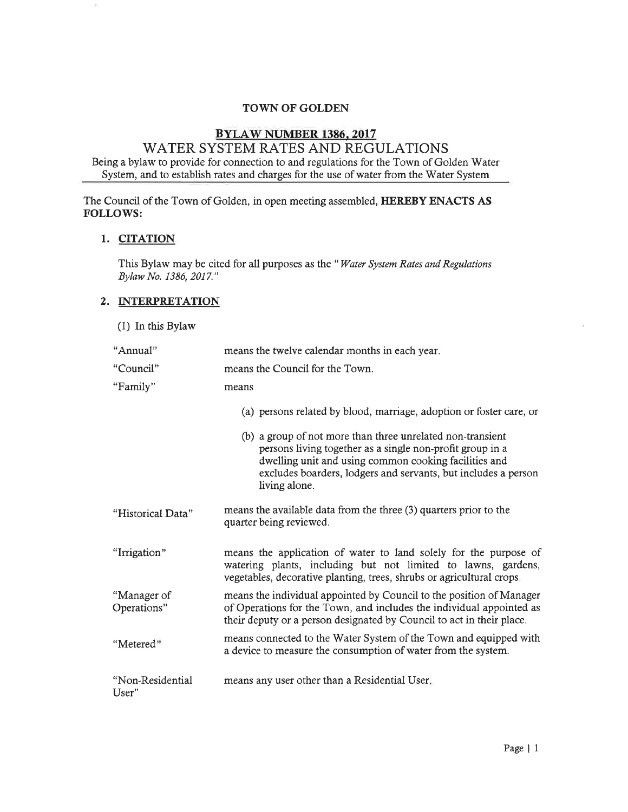# TOWN OF GOLDEN

# BYLAW NUMBER 1386. 2017

# WATER SYSTEM RATES AND REGULATIONS Being a bylaw to provide for connection to and regulations for the Town of Golden Water System, and to establish rates and charges for the use of water from the Water System

The Council of the Town of Golden, in open meeting assembled, HEREBY ENACTS AS FOLLOWS:

#### I. CITATION

ř.

This Bylaw may be cited for all purposes as the "Water System Rates and Regulations Bylaw No. 1386, 2017."

#### 2. INTERPRETATION

(1) In this Bylaw

| "Annual"                   | means the twelve calendar months in each year.                                                                                                                                                                                                                      |  |  |
|----------------------------|---------------------------------------------------------------------------------------------------------------------------------------------------------------------------------------------------------------------------------------------------------------------|--|--|
| "Council"                  | means the Council for the Town.                                                                                                                                                                                                                                     |  |  |
| "Family"                   | means                                                                                                                                                                                                                                                               |  |  |
|                            | (a) persons related by blood, marriage, adoption or foster care, or                                                                                                                                                                                                 |  |  |
|                            | (b) a group of not more than three unrelated non-transient<br>persons living together as a single non-profit group in a<br>dwelling unit and using common cooking facilities and<br>excludes boarders, lodgers and servants, but includes a person<br>living alone. |  |  |
| "Historical Data"          | means the available data from the three (3) quarters prior to the<br>quarter being reviewed.                                                                                                                                                                        |  |  |
| "Irrigation"               | means the application of water to land solely for the purpose of<br>watering plants, including but not limited to lawns, gardens,<br>vegetables, decorative planting, trees, shrubs or agricultural crops.                                                          |  |  |
| "Manager of<br>Operations" | means the individual appointed by Council to the position of Manager<br>of Operations for the Town, and includes the individual appointed as<br>their deputy or a person designated by Council to act in their place.                                               |  |  |
| "Metered"                  | means connected to the Water System of the Town and equipped with<br>a device to measure the consumption of water from the system.                                                                                                                                  |  |  |
| "Non-Residential<br>User"  | means any user other than a Residential User.                                                                                                                                                                                                                       |  |  |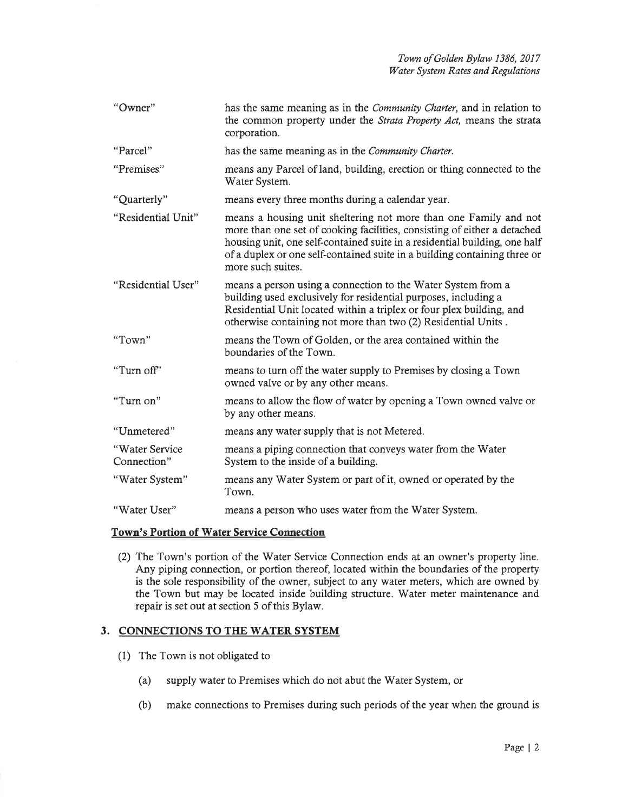| "Owner"                       | has the same meaning as in the <i>Community Charter</i> , and in relation to<br>the common property under the <i>Strata Property Act</i> , means the strata<br>corporation.                                                                                                                                                  |
|-------------------------------|------------------------------------------------------------------------------------------------------------------------------------------------------------------------------------------------------------------------------------------------------------------------------------------------------------------------------|
| "Parcel"                      | has the same meaning as in the Community Charter.                                                                                                                                                                                                                                                                            |
| "Premises"                    | means any Parcel of land, building, erection or thing connected to the<br>Water System.                                                                                                                                                                                                                                      |
| "Quarterly"                   | means every three months during a calendar year.                                                                                                                                                                                                                                                                             |
| "Residential Unit"            | means a housing unit sheltering not more than one Family and not<br>more than one set of cooking facilities, consisting of either a detached<br>housing unit, one self-contained suite in a residential building, one half<br>of a duplex or one self-contained suite in a building containing three or<br>more such suites. |
| "Residential User"            | means a person using a connection to the Water System from a<br>building used exclusively for residential purposes, including a<br>Residential Unit located within a triplex or four plex building, and<br>otherwise containing not more than two (2) Residential Units.                                                     |
| "Town"                        | means the Town of Golden, or the area contained within the<br>boundaries of the Town.                                                                                                                                                                                                                                        |
| "Turn off"                    | means to turn off the water supply to Premises by closing a Town<br>owned valve or by any other means.                                                                                                                                                                                                                       |
| "Turn on"                     | means to allow the flow of water by opening a Town owned valve or<br>by any other means.                                                                                                                                                                                                                                     |
| "Unmetered"                   | means any water supply that is not Metered.                                                                                                                                                                                                                                                                                  |
| "Water Service<br>Connection" | means a piping connection that conveys water from the Water<br>System to the inside of a building.                                                                                                                                                                                                                           |
| "Water System"                | means any Water System or part of it, owned or operated by the<br>Town.                                                                                                                                                                                                                                                      |
| "Water User"                  | means a person who uses water from the Water System.                                                                                                                                                                                                                                                                         |

#### Town's Portion of Water Service Connection

(2) The Town's portion of the Water Service Connection ends at an owner's property line. Any piping connection, or portion thereof, located within the boundaries of the property is the sole responsibility of the owner, subject to any water meters, which are owned by the Town but may be located inside building structure. Water meter maintenance and repair is set out at section 5 of this Bylaw.

#### 3. CONNECTIONS TO THE WATER SYSTEM

- (1) The Town is not obligated to
	- (a) supply water to Premises which do not abut the'Water System, or
	- (b) make connections to Premises during such periods of the year when the ground is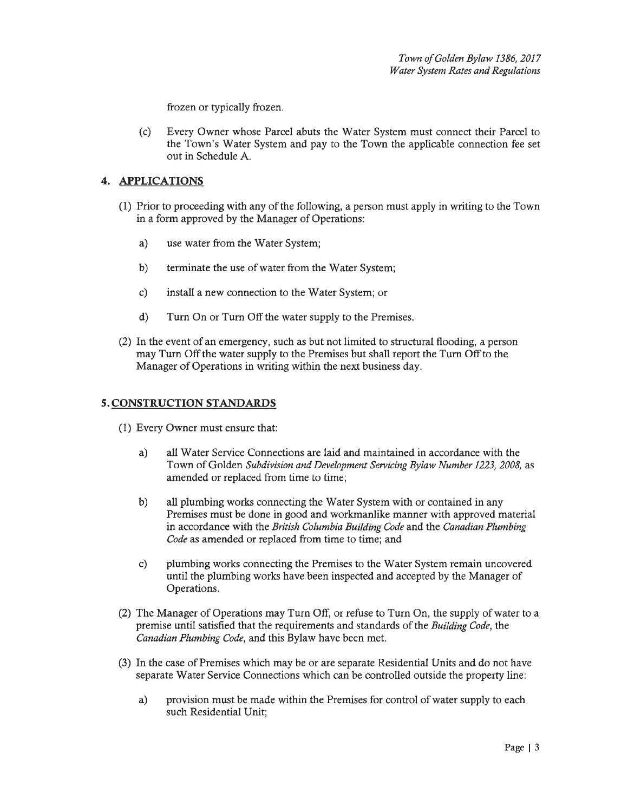frozen or typically frozen.

(c) Every Owner whose Parcel abuts the Water System must connect their Parcel to the Town's 'Water System and pay to the Town the applicable connection fee set out in Schedule A.

## 4. APPLICATIONS

- (1) Prior to proceeding with any of the following, a person must apply in writing to the Town in a form approved by the Manager of Operations:
	- a) use water from the Water System;
	- b) terminate the use of water from the Water System;
	- c) install a new connection to the Water System; or
	- d) Turn On or Turn Off the water supply to the Premises.
- (2) In the event of an emergency, such as but not limited to structural flooding, a person may Turn Off the water supply to the Premises but shall report the Turn Off to the Manager of Operations in writing within the next business day.

#### 5. CONSTRUCTION STANDARDS

- (1) Every Owner must ensure that:
	- a) all Water Service Connections are laid and maintained in accordance with the Town of Golden Subdivision and Development Servicing Bylaw Number 1223, 2008, as amended or replaced from time to time;
	- b) all plumbing works connecting the Water System with or contained in any Premises must be done in good and workmanlike manner with approved material in accordance with the British Columbia Building Code and the Canadian Plumbing Code as amended or replaced from time to time; and
	- c) plumbing works connecting the Premises to the Water System remain uncovered until the plumbing works have been inspected and accepted by the Manager of Operations.
- (2) The Manager of Operations may Turn Off, or refuse to Turn On, the supply of water to a premise until satisfied that the requirements and standards of the Building Code, the Canadian Plumbing Code, and this Bylaw have been met.
- (3) In the case of Premises which may be or are separate Residential Units and do not have separate Water Service Connections which can be controlled outside the property line:
	- a) provision must be made within the Premises for control of water supply to each such Residential Unit;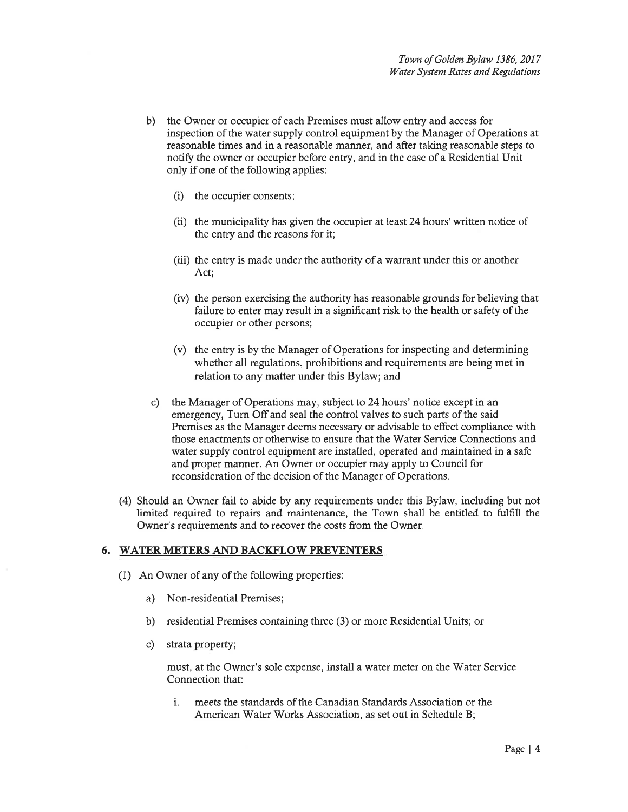- b) the Owner or occupier of each Premises must allow entry and access for inspection of the water supply control equipment by the Manager of Operations at reasonable times and in a reasonable manner, and aftet taking reasonable steps to notify the owner or occupier before entry, and in the case of a Residential Unit only if one of the following applies:
	- $(i)$  the occupier consents;
	- $(ii)$  the municipality has given the occupier at least 24 hours' written notice of the entry and the reasons for it;
	- (iii) the entry is made under the authority of a warrant under this or another Act;
	- (iv) the person exercising the authority has reasonable grounds for believing that failure to enter may result in a significant risk to the health or safety of the occupier or other persons;
	- (v) the entry is by the Manager of Operations for inspecting and determining whether all regulations, prohibitions and requirements are being met in relation to any matter under this Bylaw; and
- c) the Manager of Operations may, subject to 24 hours' notice except in an emergency, Turn Off and seal the control valves to such parts of the said Premises as the Manager deems necessary or advisable to effect compliance with those enactments or otherwise to ensure that the Water Service Connections and water supply control equipment are installed, operated and maintained in a safe and proper manner. An Owner or occupier may apply to Council for reconsideration of the decision of the Manager of Operations.
- (4) Should an Owner fail to abide by any requirements under this Bylaw, including but not limited required to repairs and maintenance, the Town shall be entitled to fulfill the Owner's requirements and to recover the costs from the Owner.

## 6. WATER METERS AND BACKFLOW PREVENTERS

- (1) An Owner of any of the following properties:
	- a) Non-residential Premises;
	- b) residential Premises containing three (3) or more Residential Units; or
	- c) strata property;

must, at the Owner's sole expense, install a water meter on the Water Service Connection that:

i. meets the standards of the Canadian Standards Association or the American Water Works Association, as set out in Schedule B;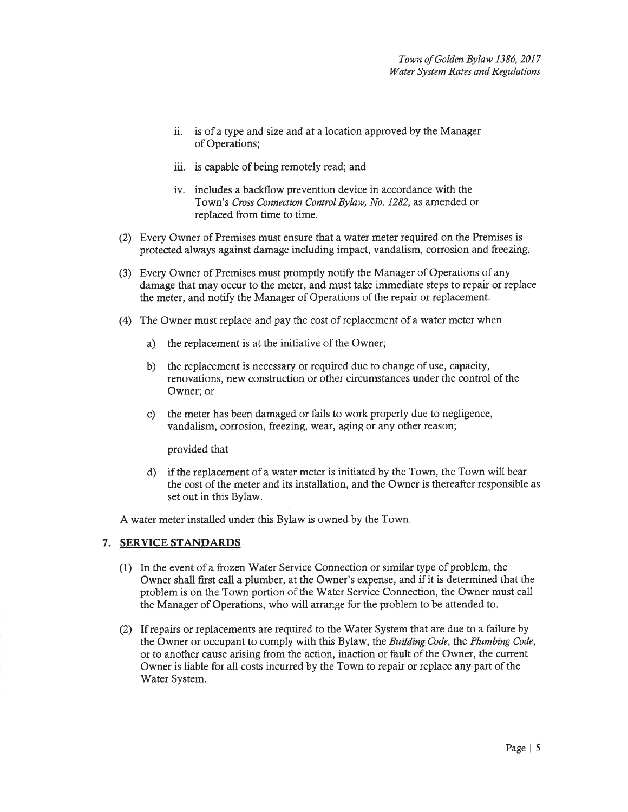- ii. is of a fype and size and at a location approved by the Manager of Operations;
- iii. is capable of being remotely read; and
- iv. includes a backflow prevention device in accordance with the Town's Cross Connection Control Bylaw, No. 1282, as amended or replaced from time to time.
- (2) Every Owner of Premises must ensure that awater meter required on the Premises is protected always against damage including impact, vandalism, corrosion andfreezing
- (3) Every Owner of Premises must promptly notiff the Manager of Operations of any damage that may occur to the meter, and must take immediate steps to repair or replace the meter, and notify the Manager of Operations of the repair or replacement.
- (4) The Owner must replace and pay the cost of replacement of a water meter when
	- a) the replacement is at the initiative of the Owner;
	- b) the replacement is necessary or required due to change of use, capacity, renovations, new construction or other circumstances under the control of the Owner; or
	- c) the meter has been damaged or fails to work properly due to negligence, vandalism, corrosion, freezing, weat, aging or any other reason;

provided that

d) if the replacement of awater meter is initiated by the Town, the Town will bear the cost of the meter and its installation, and the Owner is thereafter responsible as set out in this Bylaw.

A water meter installed under this Bylaw is owned by the Town.

#### 7. SERYICE STANDARDS

- (1) In the event of afrozen Water Service Connection or similar type of problem, the Owner shall first call a plumber, at the Owner's expense, and if it is determined that the problem is on the Town portion of the Water Service Connection, the Owner must call the Manager of Operations, who will arrange for the problem to be attended to.
- (2) If repairs or replacements are required to the Water System that are due to a failure by the Owner or occupant to comply with this Bylaw, the Building Code, the Plumbing Code, or to another cause arising from the action, inaction or fault of the Owner, the current Owner is liable for all costs incurred by the Town to repair or replace any part of the Water System.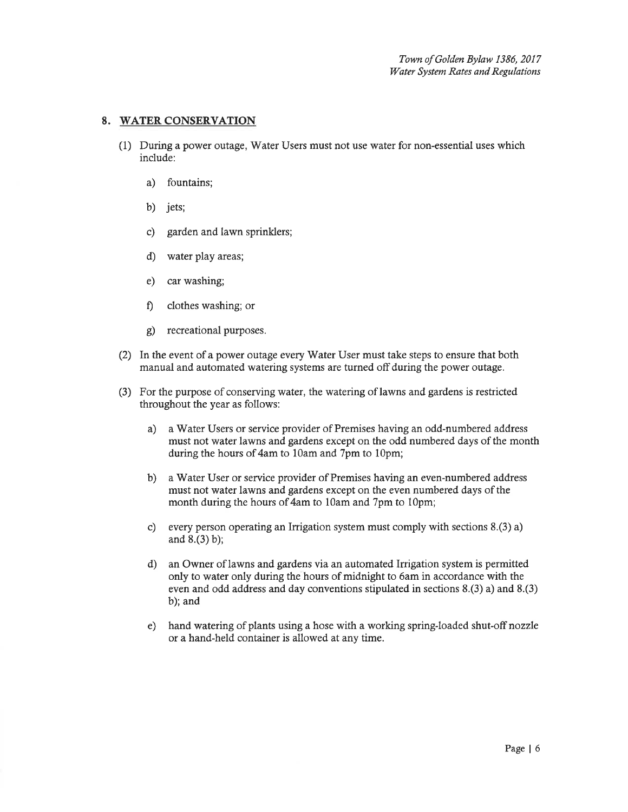#### 8. WATER CONSERVATION

- (1) During a power outage, Water Users must not use water for non-essential uses which include:
	- a) fountains;
	- b) jets;
	- c) garden and lawn sprinklers;
	- d) water play areas;
	- e) car washing;
	- f) clothes washing; or
	- g) recreational purposes.
- (2) In the event of a power outage every'Water User must take steps to ensure that both manual and automated watering systems are turned off during the power outage.
- (3) For the purpose of conservingwatet, the watering of lawns and gardens is restricted throughout the year as follows:
	- a) a Water Users or service provider of Premises having an odd-numbered address must not water lawns and gardens except on the odd numbered days of the month during the hours of  $4am$  to 10am and 7pm to 10pm;
	- b) a'Water User or service provider of Premises having an even-numbered address must not water lawns and gardens except on the even numbered days of the month during the hours of 4am to 10am and 7pm to 10pm;
	- c) every person operating an Irrigation system must comply with sections 8.(3) a) and 8.(3) b);
	- d) an Owner of lawns and gardens via an automated Irrigation system is permitted only to water only during the hours of midnight to 6amin accordance with the even and odd address and day conventions stipulated in sections 8.(3) a) and 8.(3) b); and
	- e) hand watering of plants using a hose with a working spring-loaded shut-off nozzle or a hand-held container is allowed at any time.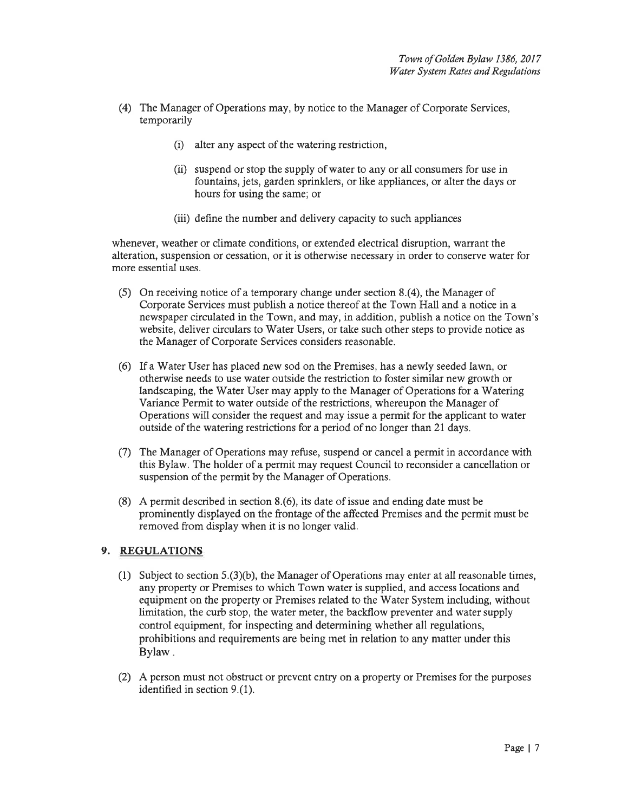- (4) The Manager of Operations may, by notice to the Manager of Corporate Services, temporarily
	- $(i)$  alter any aspect of the watering restriction,
	- (ii) suspend or stop the supply of water to any or all consumers for use in fountains, jets, garden sprinklers, or like appliances, or alter the days or hours for using the same; or
	- (iii) define the number and delivery capacity to such appliances

whenever, weather or climate conditions, or extended electrical disruption, warrant the alteration, suspension or cessation, or it is otherwise necessary in order to conserve water for more essential uses.

- (5) On receiving notice of a temporary change under section 8.(4), the Manager of Corporate Services must publish a notice thereof at the Town Hall and a notice in a newspaper circulated in the Town, andmay, in addition, publish a notice on the Town's website, deliver circulars to Water Users, or take such other steps to provide notice as the Manager of Corporate Services considers reasonable.
- (6) If a'Water User has placed new sod on the Premises, has a newly seeded lawn, or otherwise needs to use water outside the restriction to foster similar new growth or landscaping, the Water User may apply to the Manager of Operations for a Watering Variance Permit to water outside of the restrictions, whereupon the Manager of Operations will consider the request and may issue a permit for the applicant to water outside of the watering restrictions for a period of no longer than 21 days.
- (7) The Manager of Operations may refuse, suspend or cancel a permit in accordance with this Bylaw. The holder of a permit may request Council to reconsider a cancellation or suspension of the permit by the Manager of Operations.
- (8) A permit described in section 8.(6), its date of issue and ending date must be prominently displayed on the frontage of the affected Premises and the permit must be removed from display when it is no longer valid.

# 9. REGULATIONS

- (1) Subject to section  $5(3)(b)$ , the Manager of Operations may enter at all reasonable times, any property or Premises to which Town water is supplied, and access locations and equipment on the property or Premises related to the Water System including, without limitation, the curb stop, the water meter, the backflow preventer and water supply control equipment, for inspecting and determining whether all regulations, prohibitions and requirements are being met in relation to any maffer under this Bylaw.
- (2) A person must not obstruct or prevent entry on a property or Premises for the purposes identified in section 9.(1).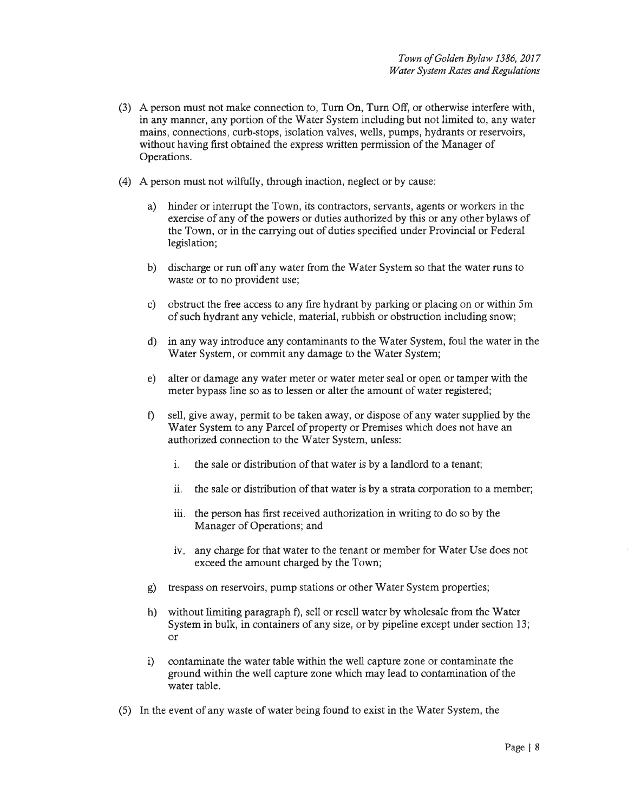- (3) A person must not make connection to, Turn On, Turn Off, or otherwise interfere with, in any manner, any portion of the Water System including but not limited to, any water mains, connections, curb-stops, isolation valves, wells, pumps, hydrants or reservoirs, without having first obtained the express written permission of the Manager of Operations.
- (4) A person must not wilfully, through inaction, neglect or by cause:
	- a) hinder or interrupt the Town, its contractors, servants, agents or workers in the exercise of any of the powers or duties authorized by this or any other bylaws of the Town, or in the carrying out of duties specified under Provincial or Federal legislation;
	- b) discharge or run offany water from the'Water System so that the water runs to waste or to no provident use;
	- c) obstruct the free access to any fire hydrant by parking or placing on or within 5m of such hydrant any vehicle, material, rubbish or obstruction including snow;
	- d) in any way introduce any contaminants to the Water System, foul the water in the Water System, or commit any damage to the Water System;
	- e) alter or damage any water meter or water meter seal or open or tamper with the meter bypass line so as to lessen or alter the amount of water registered;
	- f) sell, give away, permit to be taken away, or dispose of any water supplied by the Water System to any Parcel of property or Premises which does not have an authorized connection to the Water System, unless:
		- i. the sale or distribution of that water is by a landlord to a tenant;
		- ii. the sale or distribution of that water is by astrata corporation to a member;
		- iii. the person has first received authorization in writing to do so by the Manager of Operations; and
		- iv. any charge for that water to the tenant or member for Water Use does not exceed the amount charged by the Town;
	- g) trespass on reservoirs, pump stations or other Water System properties;
	- h) without limiting paragraph f), sell or resell water by wholesale from the Water System in bulk, in containers of any size, or by pipeline except under section 13; or
	- i) contaminate the water table within the well capture zone or contaminate the ground within the well capture zone which may lead to contamination of the water table.
- (5) In the event of any waste of water being found to exist in the 'Water System, the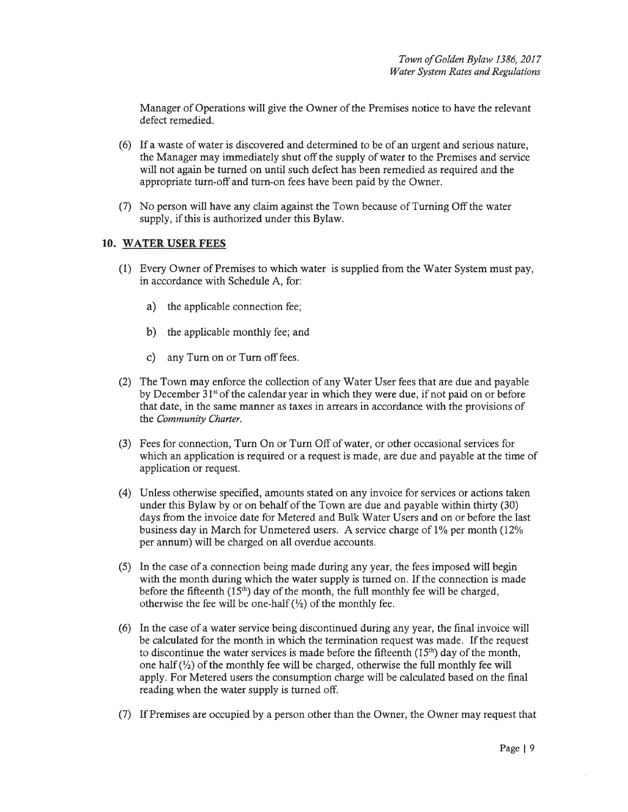Manager of Operations will give the Owner of the Premises notice to have the relevant defect remedied.

- (6) If a waste of water is discovered and determined to be of an urgent and serious nature, the Manager may immediately shut offthe supply of water to the Premises and service will not again be turned on until such defect has been remedied as required and the appropriate turn-offand turn-on fees have been paid by the Owner.
- (7) No person will have any claim against the Town because of Turning Offthe water supply, if this is authorized under this Bylaw.

#### 10. WATER USER FEES

- (1) Every Owner of Premises to which water is supplied from the Water System must pay, in accordance with Schedule A, for:
	- a) the applicable connection fee;
	- b) the applicable monthly fee; and
	- c) any Turn on or Turn off fees.
- (2) The Town may enforce the collection of any Water User fees that are due and payable by December 31<sup>st</sup> of the calendar year in which they were due, if not paid on or before that date, in the same manner as taxes in arrears in accordance with the provisions of the Community Charter.
- (3) Fees for connection, Turn On or Turn Offof water, or other occasional services for which an application is required or a request is made, are due and payable at the time of application or request.
- (4) Unless otherwise specified, amounts stated on any invoice for services or actions taken under this Bylaw by or on behalf of the Town are due and payable within thirty (30) days from the invoice date for Metered and Bulk Water Users and on or before the last business day in March for Unmetered users. A service charge of 1% per month (12%) per annum) will be charged on all overdue accounts.
- (5) In the case of a connection being made during any year, the fees imposed will begin with the month during which the water supply is turned on. If the connection is made before the fifteenth  $(15<sup>th</sup>)$  day of the month, the full monthly fee will be charged, otherwise the fee will be one-half  $(\frac{1}{2})$  of the monthly fee.
- (6) In the case of awater service being discontinued during any year, the final invoice will be calculated for the month in which the termination request was made. If the request to discontinue the water services is made before the fifteenth  $(15<sup>th</sup>)$  day of the month, one half  $(\frac{1}{2})$  of the monthly fee will be charged, otherwise the full monthly fee will apply.For Metered users the consumption charge will be calculated based on the final reading when the water supply is turned off.
- (7) If Premises are occupied by a person other than the Owner, the Owner may request that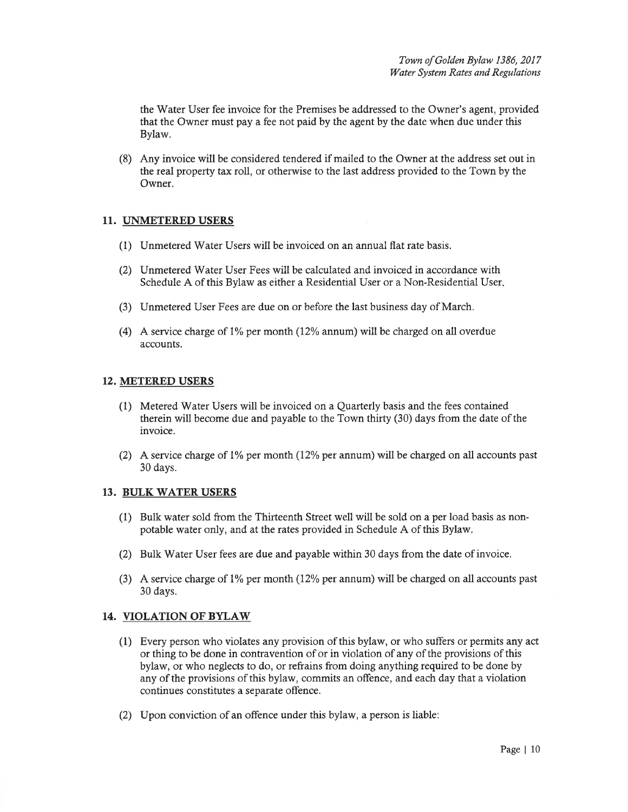the'Water User fee invoice for the Premises be addressed to the Owner's agent, provided that the Owner must pay a fee not paid by the agent by the date when due under this Bylaw.

(8) Any invoice will be considered tendered if mailed to the Owner at the address set out in the real propeffy tax roll, or otherwise to the last address provided to the Town by the Owner.

#### II. UNMETERED USERS

- (1) Unmetered Water Users will be invoiced on an annual flat rate basis.
- (2) Unmetered Water User Fees will be calculated and invoiced in accordance with Schedule A of this Bylaw as either a Residential User or a Non-Residential User
- (3) Unmetered User Fees are due on or before the last business day of March.
- (4) A service charge of  $1\%$  per month (12% annum) will be charged on all overdue accounts.

#### 12. METERED USERS

- (1) Metered V/ater Users will be invoiced on a Quarterly basis and the fees contained therein will become due and payable to the Town thirty (30) days from the date of the invoice.
- (2) A service charge of 1% per month (12% per annum) will be charged on all accounts past 30 days.

#### 13. BIJLK WATER USERS

- (1) Bulk water sold from the Thirteenth Street well will be sold on a per load basis as nonpotable water only, and at the rates provided in Schedule A of this Bylaw.
- (2) Bulk Water User fees are due andpayable within 30 days from the date of invoice.
- (3) A service charge of  $1\%$  per month (12% per annum) will be charged on all accounts past 30 days.

## 14. VIOLATION OF BYLAW

- (1) Every person who violates any provision of this bylaw, or who suffers or permits aîy act or thing to be done in contravention of or in violation of any of the provisions of this bylaw, or who neglects to do, or refrains from doing anything required to be done by any of the provisions of this bylaw, commits an offence, and each day that a violation continues constitutes a separate offence.
- (2) Upon conviction of an offence under this bylaw, a person is liable: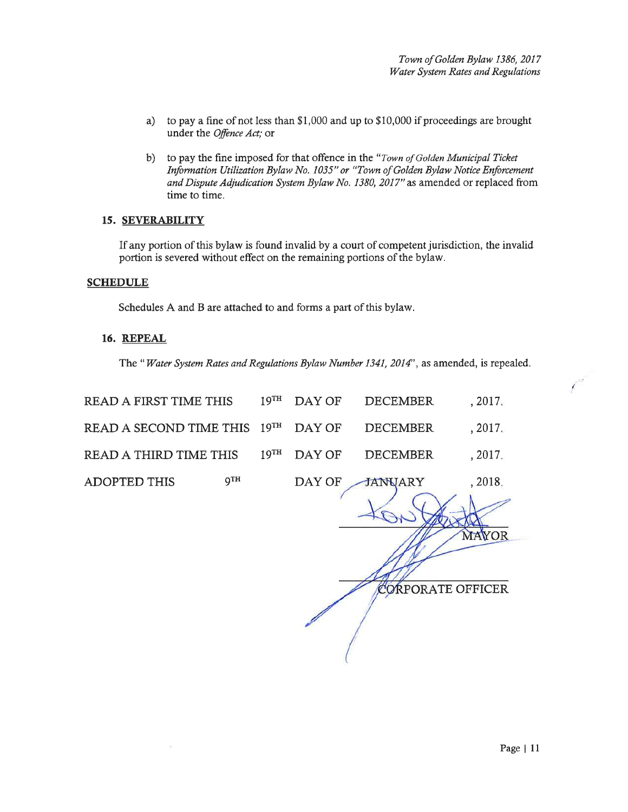- a) to pay a fine of not less than  $$1,000$  and up to  $$10,000$  if proceedings are brought under the Offence Act; or
- b) to pay the fine imposed for that offence in the "Town of Golden Municipal Ticket Information Utilization Bylaw No. 1035" or "Town of Golden Bylaw Notice Enforcement and Dispute Adjudication System Bylaw No. 1380, 2017" as amended or replaced from time to time.

#### 15. SEVERABILITY

If any portion of this bylaw is found invalid by a court of competent jurisdiction, the invalid portion is severed without effect on the remaining portions of the bylaw.

#### **SCHEDULE**

Schedules A and B arc attached to and forms a part of this bylaw.

#### 16. REPEAL

The "Water System Rates and Regulations Bylaw Number 1341, 2014", as amended, is repealed.

| READ A FIRST TIME THIS                       |     |  | 19 <sup>TH</sup> DAY OF DECEMBER | , 2017. |
|----------------------------------------------|-----|--|----------------------------------|---------|
| READ A SECOND TIME THIS 19TH DAY OF DECEMBER |     |  |                                  | , 2017. |
| READ A THIRD TIME THIS                       |     |  | $19^{TH}$ DAY OF DECEMBER        | .2017.  |
| <b>ADOPTED THIS</b>                          | дтн |  | DAY OF JANUARY<br>$\sqrt{GM}$    | , 2018. |
|                                              |     |  |                                  |         |

CORPORATE OFFICER

YOR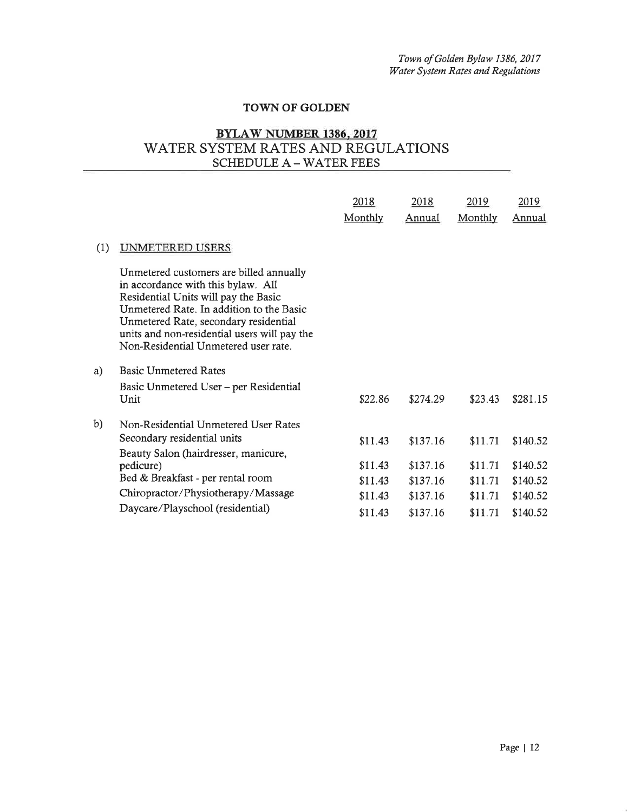## TOWN OF GOLDEN

# BYLAW NUMBER 138ó, 2017 WATER SYSTEM RATES AND REGULATIONS SCHEDULE A – WATER FEES

|     |                                                                                                                                                                                                                                                                                                    | 2018<br>Monthly    | 2018<br>Annual       | 2019<br>Monthly    | <u>2019</u><br>Annual |
|-----|----------------------------------------------------------------------------------------------------------------------------------------------------------------------------------------------------------------------------------------------------------------------------------------------------|--------------------|----------------------|--------------------|-----------------------|
| (1) | UNMETERED USERS                                                                                                                                                                                                                                                                                    |                    |                      |                    |                       |
|     | Unmetered customers are billed annually<br>in accordance with this bylaw. All<br>Residential Units will pay the Basic<br>Unmetered Rate. In addition to the Basic<br>Unmetered Rate, secondary residential<br>units and non-residential users will pay the<br>Non-Residential Unmetered user rate. |                    |                      |                    |                       |
| a)  | <b>Basic Unmetered Rates</b>                                                                                                                                                                                                                                                                       |                    |                      |                    |                       |
|     | Basic Unmetered User – per Residential<br>Unit                                                                                                                                                                                                                                                     | \$22.86            | \$274.29             | \$23.43            | \$281.15              |
| b)  | Non-Residential Unmetered User Rates<br>Secondary residential units                                                                                                                                                                                                                                | \$11.43            | \$137.16             | \$11.71            | \$140.52              |
|     | Beauty Salon (hairdresser, manicure,<br>pedicure)<br>Bed & Breakfast - per rental room                                                                                                                                                                                                             | \$11.43<br>\$11.43 | \$137.16<br>\$137.16 | \$11.71<br>\$11.71 | \$140.52<br>\$140.52  |
|     | Chiropractor/Physiotherapy/Massage                                                                                                                                                                                                                                                                 | \$11.43            | \$137.16             | \$11.71            | \$140.52              |
|     | Daycare/Playschool (residential)                                                                                                                                                                                                                                                                   | \$11.43            | \$137.16             | \$11.71            | \$140.52              |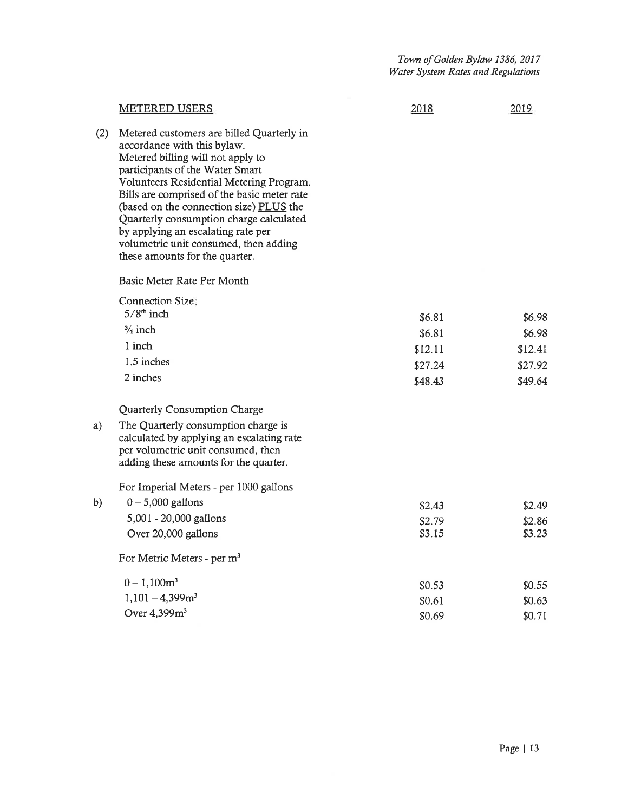|     | <b>METERED USERS</b>                                                                                                                                                                                                                                                                                                                                                                                                                               | 2018                                              | 2019                                              |
|-----|----------------------------------------------------------------------------------------------------------------------------------------------------------------------------------------------------------------------------------------------------------------------------------------------------------------------------------------------------------------------------------------------------------------------------------------------------|---------------------------------------------------|---------------------------------------------------|
| (2) | Metered customers are billed Quarterly in<br>accordance with this bylaw.<br>Metered billing will not apply to<br>participants of the Water Smart<br>Volunteers Residential Metering Program.<br>Bills are comprised of the basic meter rate<br>(based on the connection size) PLUS the<br>Quarterly consumption charge calculated<br>by applying an escalating rate per<br>volumetric unit consumed, then adding<br>these amounts for the quarter. |                                                   |                                                   |
|     | Basic Meter Rate Per Month                                                                                                                                                                                                                                                                                                                                                                                                                         |                                                   |                                                   |
|     | <b>Connection Size:</b><br>$5/8th$ inch<br>$\frac{3}{4}$ inch<br>1 inch<br>1.5 inches<br>2 inches<br>Quarterly Consumption Charge                                                                                                                                                                                                                                                                                                                  | \$6.81<br>\$6.81<br>\$12.11<br>\$27.24<br>\$48.43 | \$6.98<br>\$6.98<br>\$12.41<br>\$27.92<br>\$49.64 |
| a)  | The Quarterly consumption charge is<br>calculated by applying an escalating rate<br>per volumetric unit consumed, then<br>adding these amounts for the quarter.                                                                                                                                                                                                                                                                                    |                                                   |                                                   |
|     | For Imperial Meters - per 1000 gallons                                                                                                                                                                                                                                                                                                                                                                                                             |                                                   |                                                   |
| b)  | $0 - 5,000$ gallons<br>5,001 - 20,000 gallons<br>Over 20,000 gallons                                                                                                                                                                                                                                                                                                                                                                               | \$2.43<br>\$2.79<br>\$3.15                        | \$2.49<br>\$2.86<br>\$3.23                        |
|     | For Metric Meters - per m <sup>3</sup>                                                                                                                                                                                                                                                                                                                                                                                                             |                                                   |                                                   |
|     | $0 - 1,100m^3$<br>$1,101 - 4,399m3$<br>Over 4,399m <sup>3</sup>                                                                                                                                                                                                                                                                                                                                                                                    | \$0.53<br>\$0.61<br>\$0.69                        | \$0.55<br>\$0.63<br>\$0.71                        |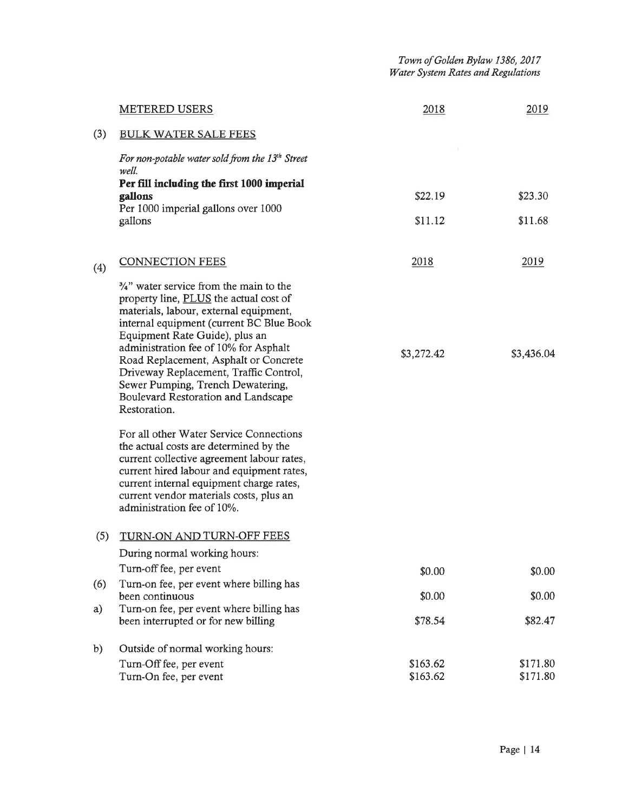|     | <b>METERED USERS</b>                                                                                                                                                                                                                                                                                                                                                                                                                         | 2018                 | 2019                 |
|-----|----------------------------------------------------------------------------------------------------------------------------------------------------------------------------------------------------------------------------------------------------------------------------------------------------------------------------------------------------------------------------------------------------------------------------------------------|----------------------|----------------------|
| (3) | <b>BULK WATER SALE FEES</b>                                                                                                                                                                                                                                                                                                                                                                                                                  |                      |                      |
|     | For non-potable water sold from the 13 <sup>th</sup> Street<br>well.                                                                                                                                                                                                                                                                                                                                                                         |                      |                      |
|     | Per fill including the first 1000 imperial<br>gallons                                                                                                                                                                                                                                                                                                                                                                                        | \$22.19              | \$23.30              |
|     | Per 1000 imperial gallons over 1000<br>gallons                                                                                                                                                                                                                                                                                                                                                                                               | \$11.12              | \$11.68              |
| (4) | <b>CONNECTION FEES</b>                                                                                                                                                                                                                                                                                                                                                                                                                       | 2018                 | 2019                 |
|     | $\frac{3}{4}$ " water service from the main to the<br>property line, PLUS the actual cost of<br>materials, labour, external equipment,<br>internal equipment (current BC Blue Book<br>Equipment Rate Guide), plus an<br>administration fee of 10% for Asphalt<br>Road Replacement, Asphalt or Concrete<br>Driveway Replacement, Traffic Control,<br>Sewer Pumping, Trench Dewatering,<br>Boulevard Restoration and Landscape<br>Restoration. | \$3,272.42           | \$3,436.04           |
|     | For all other Water Service Connections<br>the actual costs are determined by the<br>current collective agreement labour rates,<br>current hired labour and equipment rates,<br>current internal equipment charge rates,<br>current vendor materials costs, plus an<br>administration fee of 10%.                                                                                                                                            |                      |                      |
| (5) | TURN-ON AND TURN-OFF FEES                                                                                                                                                                                                                                                                                                                                                                                                                    |                      |                      |
|     | During normal working hours:                                                                                                                                                                                                                                                                                                                                                                                                                 |                      |                      |
|     | Turn-off fee, per event                                                                                                                                                                                                                                                                                                                                                                                                                      | \$0.00               | \$0.00               |
| (6) | Turn-on fee, per event where billing has<br>been continuous                                                                                                                                                                                                                                                                                                                                                                                  | \$0.00               | \$0.00               |
| a)  | Turn-on fee, per event where billing has<br>been interrupted or for new billing                                                                                                                                                                                                                                                                                                                                                              | \$78.54              | \$82.47              |
| b)  | Outside of normal working hours:                                                                                                                                                                                                                                                                                                                                                                                                             |                      |                      |
|     | Turn-Off fee, per event<br>Turn-On fee, per event                                                                                                                                                                                                                                                                                                                                                                                            | \$163.62<br>\$163.62 | \$171.80<br>\$171.80 |